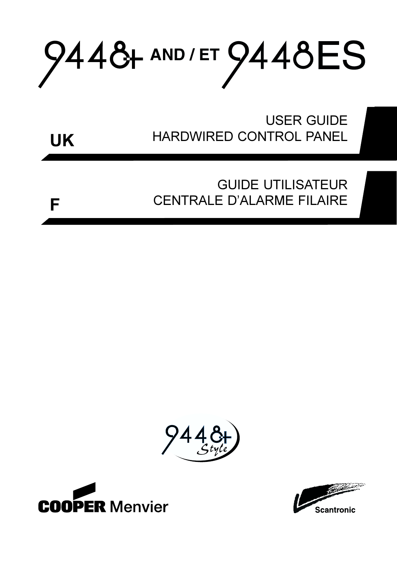# 9448+ AND / ET 9448ES

**USER GUIDE** HARDWIRED CONTROL PANEL



# **GUIDE UTILISATEUR CENTRALE D'ALARME FILAIRE**







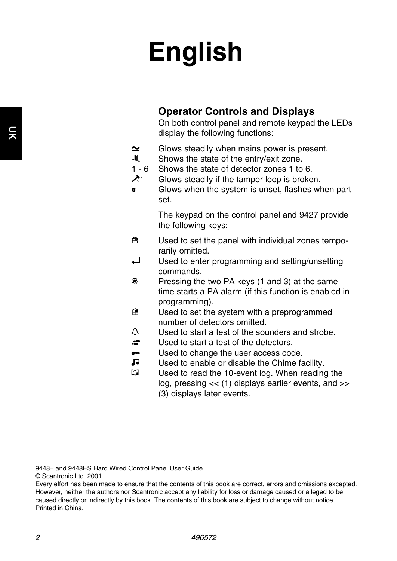# **English**

### **Operator Controls and Displays**

On both control panel and remote keypad the LEDs display the following functions:

- $\sim$ Glows steadily when mains power is present.
- $\blacksquare$ Shows the state of the entry/exit zone.
- $1 6$ Shows the state of detector zones 1 to 6.
- $\lambda$ Glows steadily if the tamper loop is broken.
- e. Glows when the system is unset, flashes when part set.

The keypad on the control panel and 9427 provide the following keys:

- 龠 Used to set the panel with individual zones tempo rarily omitted.
- $\overline{\phantom{0}}$ Used to enter programming and setting/unsetting commands.
- $\circledast$ Pressing the two PA keys (1 and 3) at the same time starts a PA alarm (if this function is enabled in programming).
- $\hat{H}$ Used to set the system with a preprogrammed number of detectors omitted.
- $\mathfrak{D}$ Used to start a test of the sounders and strobe.
- $\approx$ Used to start a test of the detectors.
- $\sim$ Used to change the user access code.
- $\sqrt{ }$ Used to enable or disable the Chime facility.
- m Used to read the 10-event log. When reading the log, pressing << (1) displays earlier events, and >> (3) displays later events.

9448+ and 9448ES Hard Wired Control Panel User Guide.

© Scantronic Ltd. 2001

Every effort has been made to ensure that the contents of this book are correct, errors and omissions excepted. However, neither the authors nor Scantronic accept any liability for loss or damage caused or alleged to be caused directly or indirectly by this book. The contents of this book are subject to change without notice. Printed in China.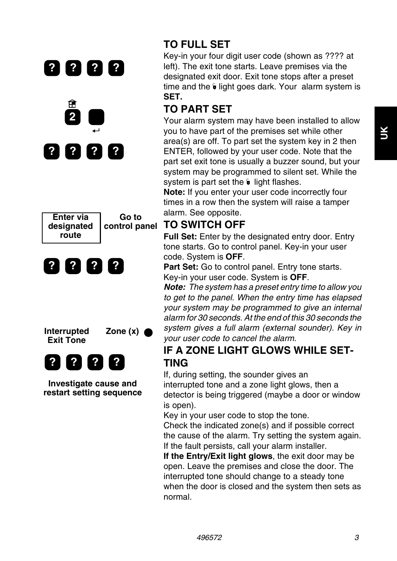







**Investigate cause and restart setting sequence** 

# **TO FULL SET**

Key-in your four digit user code (shown as ???? at left). The exit tone starts. Leave premises via the designated exit door. Exit tone stops after a preset time and the  $\epsilon$  light goes dark. Your alarm system is **SET.** 

# **TO PART SET**

Your alarm system may have been installed to allow you to have part of the premises set while other area(s) are off. To part set the system key in 2 then ENTER, followed by your user code. Note that the part set exit tone is usually a buzzer sound, but your system may be programmed to silent set. While the system is part set the  $\hat{\mathbf{v}}$  light flashes.

**Note:** If you enter your user code incorrectly four times in a row then the system will raise a tamper alarm. See opposite.

### **TO SWITCH OFF**

**Full Set:** Enter by the designated entry door. Entry tone starts. Go to control panel. Key-in your user code. System is **OFF**.

**Part Set:** Go to control panel. Entry tone starts. Key-in your user code. System is **OFF**.

**Note:** The system has a preset entry time to allow you to get to the panel. When the entry time has elapsed your system may be programmed to give an internal alarm for 30 seconds. At the end of this 30 seconds the system gives a full alarm (external sounder). Key in your user code to cancel the alarm.

### **IF A ZONE LIGHT GLOWS WHILE SET-TING**

If, during setting, the sounder gives an interrupted tone and a zone light glows, then a detector is being triggered (maybe a door or window is open).

Key in your user code to stop the tone.

Check the indicated zone(s) and if possible correct the cause of the alarm. Try setting the system again. If the fault persists, call your alarm installer.

**If the Entry/Exit light glows**, the exit door may be open. Leave the premises and close the door. The interrupted tone should change to a steady tone when the door is closed and the system then sets as normal.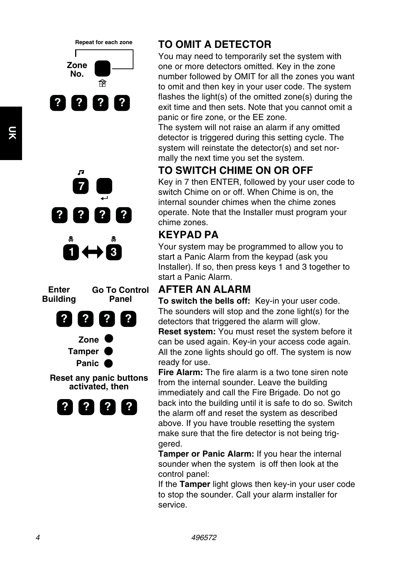

**Repeat for each zone** 

Г





# **TO OMIT A DETECTOR**

You may need to temporarily set the system with one or more detectors omitted. Key in the zone number followed by OMIT for all the zones you want to omit and then key in your user code. The system flashes the light(s) of the omitted zone(s) during the exit time and then sets. Note that you cannot omit a panic or fire zone, or the EE zone.

The system will not raise an alarm if any omitted detector is triggered during this setting cycle. The system will reinstate the detector(s) and set normally the next time you set the system.

# **TO SWITCH CHIME ON OR OFF**

Key in 7 then ENTER, followed by your user code to switch Chime on or off. When Chime is on, the internal sounder chimes when the chime zones operate. Note that the Installer must program your chime zones.

## **KEYPAD PA**

Your system may be programmed to allow you to start a Panic Alarm from the keypad (ask you Installer). If so, then press keys 1 and 3 together to start a Panic Alarm.

### **AFTER AN ALARM**

**To switch the bells off:** Key-in your user code. The sounders will stop and the zone light(s) for the detectors that triggered the alarm will glow.

**Reset system:** You must reset the system before it can be used again. Key-in your access code again. All the zone lights should go off. The system is now ready for use.

**Fire Alarm:** The fire alarm is a two tone siren note from the internal sounder. Leave the building immediately and call the Fire Brigade. Do not go back into the building until it is safe to do so. Switch the alarm off and reset the system as described above. If you have trouble resetting the system make sure that the fire detector is not being triggered.

**Tamper or Panic Alarm:** If you hear the internal sounder when the system is off then look at the control panel:

If the **Tamper** light glows then key-in your user code to stop the sounder. Call your alarm installer for service.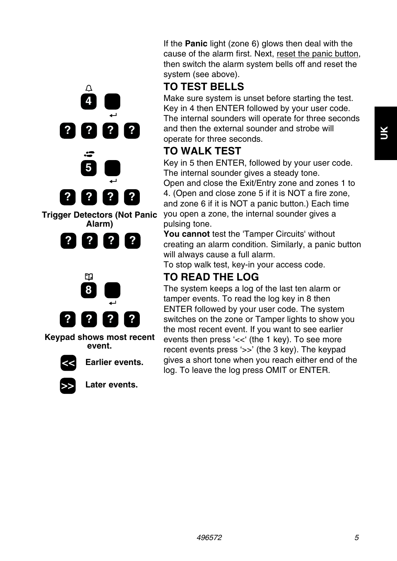If the **Panic** light (zone 6) glows then deal with the cause of the alarm first. Next, reset the panic button, then switch the alarm system bells off and reset the system (see above).

## **TO TEST BELLS**

Make sure system is unset before starting the test. Key in 4 then ENTER followed by your user code. The internal sounders will operate for three seconds and then the external sounder and strobe will operate for three seconds.

# **TO WALK TEST**

Key in 5 then ENTER, followed by your user code. The internal sounder gives a steady tone. Open and close the Exit/Entry zone and zones 1 to 4. (Open and close zone 5 if it is NOT a fire zone,

and zone 6 if it is NOT a panic button.) Each time you open a zone, the internal sounder gives a pulsing tone.

**You cannot** test the 'Tamper Circuits' without creating an alarm condition. Similarly, a panic button will always cause a full alarm.

To stop walk test, key-in your access code.

# **TO READ THE LOG**

The system keeps a log of the last ten alarm or tamper events. To read the log key in 8 then ENTER followed by your user code. The system switches on the zone or Tamper lights to show you the most recent event. If you want to see earlier events then press '<<' (the 1 key). To see more recent events press '>>' (the 3 key). The keypad gives a short tone when you reach either end of the log. To leave the log press OMIT or ENTER.





**Alarm)** 



**Keypad shows most recent event.** 



Earlier events.



Later events.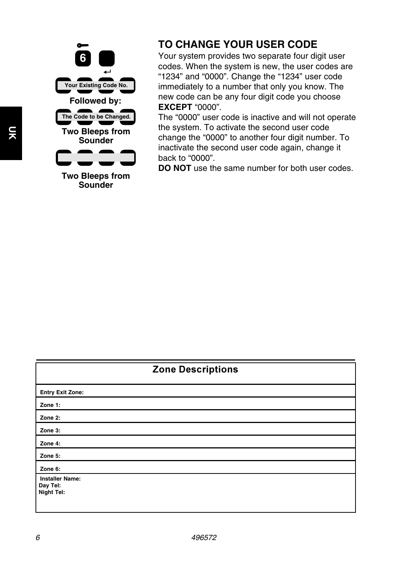

**Two Bleeps from Sounder** 

### **TO CHANGE YOUR USER CODE**

Your system provides two separate four digit user codes. When the system is new, the user codes are "1234" and "0000". Change the "1234" user code immediately to a number that only you know. The new code can be any four digit code you choose **EXCEPT** "0000".

The "0000" user code is inactive and will not operate the system. To activate the second user code change the "0000" to another four digit number. To inactivate the second user code again, change it back to "0000".

**DO NOT** use the same number for both user codes.

| <b>Zone Descriptions</b> |  |
|--------------------------|--|
| <b>Entry Exit Zone:</b>  |  |
| Zone 1:                  |  |
| Zone 2:                  |  |
| Zone 3:                  |  |
| Zone 4:                  |  |
| Zone 5:                  |  |
| Zone 6:                  |  |
| <b>Installer Name:</b>   |  |
| Day Tel:                 |  |
| <b>Night Tel:</b>        |  |
|                          |  |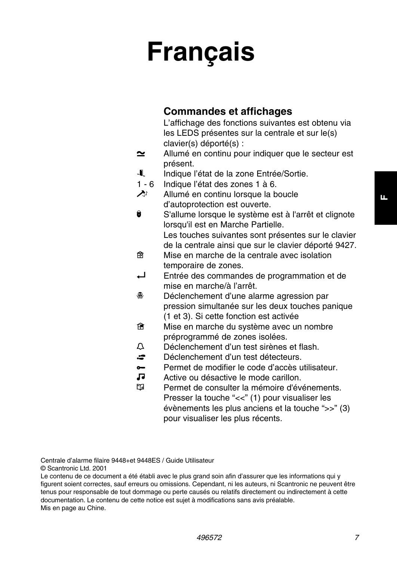# **Français**

### **Commandes et affichages**

L'affichage des fonctions suivantes est obtenu via les LEDS présentes sur la centrale et sur le(s) clavier(s) déporté(s) :

- $\sim$ Allumé en continu pour indiquer que le secteur est présent.
- $\blacksquare$ Indique l'état de la zone Entrée/Sortie.
- $1 6$ Indique l'état des zones 1 à 6.
- $\lambda$ Allumé en continu lorsque la boucle d'autoprotection est ouverte.

 $\bullet$ S'allume lorsque le système est à l'arrêt et clignote lorsqu'il est en Marche Partielle. Les touches suivantes sont présentes sur le clavier de la centrale ainsi que sur le clavier déporté 9427.

- **PR** Mise en marche de la centrale avec isolation temporaire de zones.
- $\Box$ Entrée des commandes de programmation et de mise en marche/à l'arrêt.
- $\mathcal{R}$ Déclenchement d'une alarme agression par pression simultanée sur les deux touches panique (1 et 3). Si cette fonction est activée
- $\hat{H}$ Mise en marche du système avec un nombre préprogrammé de zones isolées.
- $\bigcap$ Déclenchement d'un test sirènes et flash.
- $\approx$ Déclenchement d'un test détecteurs.
- $\sim$ Permet de modifier le code d'accès utilisateur.
- **GL** Active ou désactive le mode carillon.
- m Permet de consulter la mémoire d'événements. Presser la touche "<<" (1) pour visualiser les évènements les plus anciens et la touche ">>" (3) pour visualiser les plus récents.

Centrale d'alarme filaire 9448+et 9448ES / Guide Utilisateur

© Scantronic Ltd. 2001

Le contenu de ce document a été établi avec le plus grand soin afin d'assurer que les informations qui y figurent soient correctes, sauf erreurs ou omissions. Cependant, ni les auteurs, ni Scantronic ne peuvent être tenus pour responsable de tout dommage ou perte causés ou relatifs directement ou indirectement à cette documentation. Le contenu de cette notice est sujet à modifications sans avis préalable. Mis en page au Chine.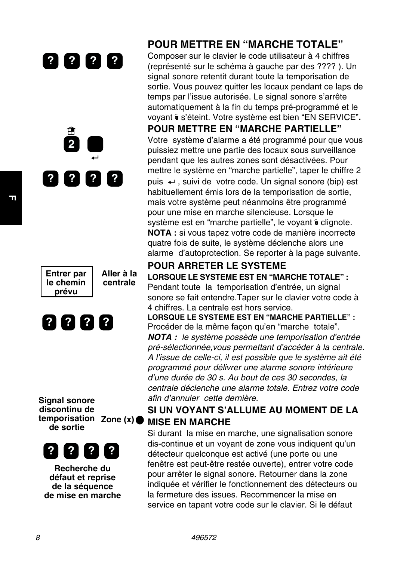



**Entrer par | Aller à la <br>le chemin | centrale** le chemin **prévu** 



**Signal sonore discontinu de temporisation Zone (x) de sortie** 



**Recherche du défaut et reprise de la séquence de mise en marche** 

### **POUR METTRE EN "MARCHE TOTALE"**

Composer sur le clavier le code utilisateur à 4 chiffres (représenté sur le schéma à gauche par des ???? ). Un signal sonore retentit durant toute la temporisation de sortie. Vous pouvez quitter les locaux pendant ce laps de temps par l'issue autorisée. Le signal sonore s'arrête automatiquement à la fin du temps pré-programmé et le voyant & s'éteint. Votre système est bien "EN SERVICE".

#### **POUR METTRE EN "MARCHE PARTIELLE"**

Votre système d'alarme a été programmé pour que vous puissiez mettre une partie des locaux sous surveillance pendant que les autres zones sont désactivées. Pour mettre le système en "marche partielle", taper le chiffre 2 puis ←, suivi de votre code. Un signal sonore (bip) est habituellement émis lors de la temporisation de sortie, mais votre système peut néanmoins être programmé pour une mise en marche silencieuse. Lorsque le système est en "marche partielle", le voyant  $\epsilon$  clignote. **NOTA :** si vous tapez votre code de manière incorrecte quatre fois de suite, le système déclenche alors une alarme d'autoprotection. Se reporter à la page suivante.

#### **POUR ARRETER LE SYSTEME LORSQUE LE SYSTEME EST EN "MARCHE TOTALE" :**

Pendant toute la temporisation d'entrée, un signal sonore se fait entendre.Taper sur le clavier votre code à 4 chiffres. La centrale est hors service.

**LORSQUE LE SYSTEME EST EN "MARCHE PARTIELLE" :**  Procéder de la même façon qu'en "marche totale". **NOTA :** le système possède une temporisation d'entrée pré-sélectionnée,vous permettant d'accéder à la centrale. A l'issue de celle-ci, il est possible que le système ait été programmé pour délivrer une alarme sonore intérieure d'une durée de 30 s. Au bout de ces 30 secondes, la centrale déclenche une alarme totale. Entrez votre code afin d'annuler cette dernière.

### **SI UN VOYANT S'ALLUME AU MOMENT DE LA MISE EN MARCHE**

Si durant la mise en marche, une signalisation sonore dis-continue et un voyant de zone vous indiquent qu'un détecteur quelconque est activé (une porte ou une fenêtre est peut-être restée ouverte), entrer votre code pour arrêter le signal sonore. Retourner dans la zone indiquée et vérifier le fonctionnement des détecteurs ou la fermeture des issues. Recommencer la mise en service en tapant votre code sur le clavier. Si le défaut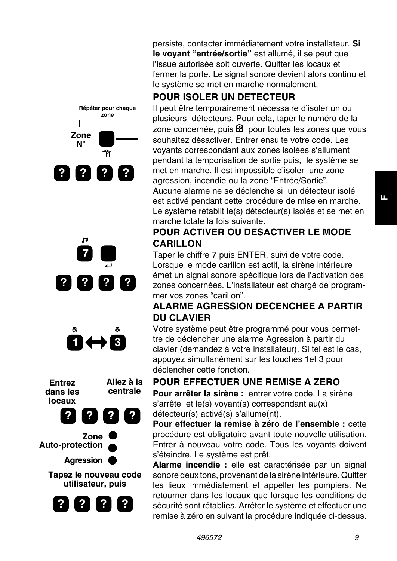







**Tapez le nouveau code utilisateur, puis** 



persiste, contacter immédiatement votre installateur. **Si le voyant "entrée/sortie"** est allumé, il se peut que l'issue autorisée soit ouverte. Quitter les locaux et fermer la porte. Le signal sonore devient alors continu et le système se met en marche normalement.

### **POUR ISOLER UN DETECTEUR**

Il peut être temporairement nécessaire d'isoler un ou plusieurs détecteurs. Pour cela, taper le numéro de la zone concernée, puis  $\widehat{\mathbb{B}}$  pour toutes les zones que vous souhaitez désactiver. Entrer ensuite votre code. Les voyants correspondant aux zones isolées s'allument pendant la temporisation de sortie puis, le système se met en marche. Il est impossible d'isoler une zone agression, incendie ou la zone "Entrée/Sortie". Aucune alarme ne se déclenche si un détecteur isolé est activé pendant cette procédure de mise en marche. Le système rétablit le(s) détecteur(s) isolés et se met en marche totale la fois suivante.

### **POUR ACTIVER OU DESACTIVER LE MODE CARILLON**

Taper le chiffre 7 puis ENTER, suivi de votre code. Lorsque le mode carillon est actif, la sirène intérieure émet un signal sonore spécifique lors de l'activation des zones concernées. L'installateur est chargé de programmer vos zones "carillon".

### **ALARME AGRESSION DECENCHEE A PARTIR DU CLAVIER**

Votre système peut être programmé pour vous permet tre de déclencher une alarme Agression à partir du clavier (demandez à votre installateur). Si tel est le cas, appuyez simultanément sur les touches 1et 3 pour déclencher cette fonction.

### **POUR EFFECTUER UNE REMISE A ZERO**

**Pour arrêter la sirène :** entrer votre code. La sirène s'arrête et le(s) voyant(s) correspondant au(x) détecteur(s) activé(s) s'allume(nt).

**Pour effectuer la remise à zéro de l'ensemble :** cette procédure est obligatoire avant toute nouvelle utilisation. Entrer à nouveau votre code. Tous les voyants doivent s'éteindre. Le système est prêt.

**Alarme incendie :** elle est caractérisée par un signal sonore deux tons, provenant de la sirène intérieure. Quitter les lieux immédiatement et appeller les pompiers. Ne retourner dans les locaux que lorsque les conditions de sécurité sont rétablies. Arrêter le système et effectuer une remise à zéro en suivant la procédure indiquée ci-dessus.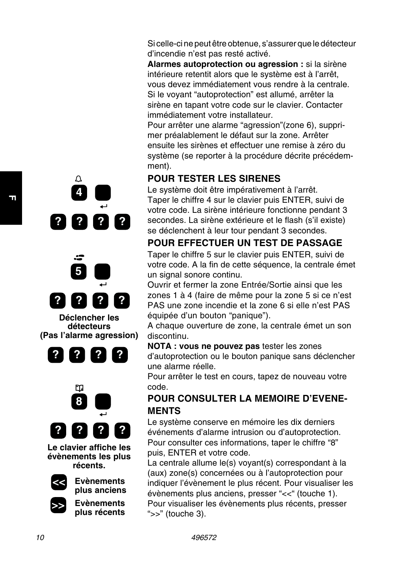Si celle-ci ne peut être obtenue, s'assurer que le détecteur d'incendie n'est pas resté activé.

**Alarmes autoprotection ou agression :** si la sirène intérieure retentit alors que le système est à l'arrêt, vous devez immédiatement vous rendre à la centrale. Si le voyant "autoprotection" est allumé, arrêter la sirène en tapant votre code sur le clavier. Contacter immédiatement votre installateur.

Pour arrêter une alarme "agression"(zone 6), supprimer préalablement le défaut sur la zone. Arrêter ensuite les sirènes et effectuer une remise à zéro du système (se reporter à la procédure décrite précédemment).

### **POUR TESTER LES SIRENES**

Le système doit être impérativement à l'arrêt. Taper le chiffre 4 sur le clavier puis ENTER, suivi de votre code. La sirène intérieure fonctionne pendant 3 secondes. La sirène extérieure et le flash (s'il existe) se déclenchent à leur tour pendant 3 secondes.

### **POUR EFFECTUER UN TEST DE PASSAGE**

Taper le chiffre 5 sur le clavier puis ENTER, suivi de votre code. A la fin de cette séquence, la centrale émet un signal sonore continu.

Ouvrir et fermer la zone Entrée/Sortie ainsi que les zones 1 à 4 (faire de même pour la zone 5 si ce n'est PAS une zone incendie et la zone 6 si elle n'est PAS équipée d'un bouton "panique").

A chaque ouverture de zone, la centrale émet un son discontinu.

**NOTA : vous ne pouvez pas** tester les zones d'autoprotection ou le bouton panique sans déclencher une alarme réelle.

Pour arrêter le test en cours, tapez de nouveau votre code.

### **POUR CONSULTER LA MEMOIRE D'EVENE-MENTS**

Le système conserve en mémoire les dix derniers événements d'alarme intrusion ou d'autoprotection. Pour consulter ces informations, taper le chiffre "8" puis, ENTER et votre code.

La centrale allume le(s) voyant(s) correspondant à la (aux) zone(s) concernées ou à l'autoprotection pour indiquer l'évènement le plus récent. Pour visualiser les évènements plus anciens, presser "<<" (touche 1). Pour visualiser les évènements plus récents, presser ">>" (touche 3).





**Déclencher les détecteurs (Pas l'alarme agression)** 





**Le clavier affiche les évènements les plus récents.** 



**plus anciens**  Evènements **plus récents** 

**<< Evènements** 



**F**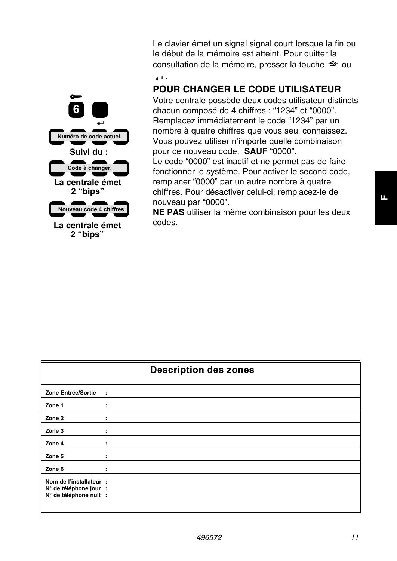

**La centrale émet 2 "bips"** 

Le clavier émet un signal signal court lorsque la fin ou le début de la mémoire est atteint. Pour quitter la consultation de la mémoire, presser la touche  $\hat{P}$  ou

.

### **POUR CHANGER LE CODE UTILISATEUR**

Votre centrale possède deux codes utilisateur distincts chacun composé de 4 chiffres : "1234" et "0000". Remplacez immédiatement le code "1234" par un nombre à quatre chiffres que vous seul connaissez. Vous pouvez utiliser n'importe quelle combinaison pour ce nouveau code, **SAUF** "0000".

Le code "0000" est inactif et ne permet pas de faire fonctionner le système. Pour activer le second code, remplacer "0000" par un autre nombre à quatre chiffres. Pour désactiver celui-ci, remplacez-le de nouveau par "0000".

**NE PAS** utiliser la même combinaison pour les deux codes.

| <b>Description des zones</b>                                                |           |  |
|-----------------------------------------------------------------------------|-----------|--|
| Zone Entrée/Sortie                                                          | $\sim$ 10 |  |
| Zone 1                                                                      | ÷         |  |
| Zone 2                                                                      | ÷         |  |
| Zone 3                                                                      |           |  |
| Zone 4                                                                      | ÷         |  |
| Zone 5                                                                      | ÷         |  |
| Zone 6                                                                      | ÷         |  |
| Nom de l'installateur :<br>N° de téléphone jour :<br>N° de téléphone nuit : |           |  |